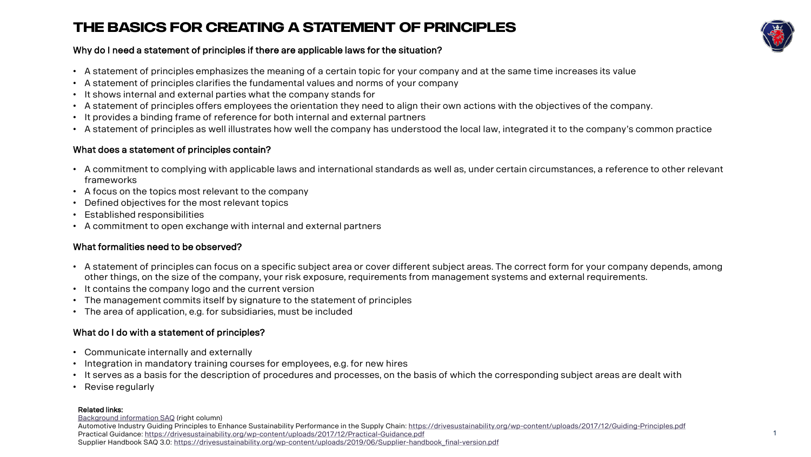#### **the basics for creating a statement of principles**



#### Why do I need a statement of principles if there are applicable laws for the situation?

- A statement of principles emphasizes the meaning of a certain topic for your company and at the same time increases its value
- A statement of principles clarifies the fundamental values and norms of your company
- It shows internal and external parties what the company stands for
- A statement of principles offers employees the orientation they need to align their own actions with the objectives of the company.
- It provides a binding frame of reference for both internal and external partners
- A statement of principles as well illustrates how well the company has understood the local law, integrated it to the company's common practice

#### What does a statement of principles contain?

- A commitment to complying with applicable laws and international standards as well as, under certain circumstances, a reference to other relevant frameworks
- A focus on the topics most relevant to the company
- Defined objectives for the most relevant topics
- Established responsibilities
- A commitment to open exchange with internal and external partners

#### What formalities need to be observed?

- A statement of principles can focus on a specific subject area or cover different subject areas. The correct form for your company depends, among other things, on the size of the company, your risk exposure, requirements from management systems and external requirements.
- It contains the company logo and the current version
- The management commits itself by signature to the statement of principles
- The area of application, e.g. for subsidiaries, must be included

#### What do I do with a statement of principles?

- Communicate internally and externally
- Integration in mandatory training courses for employees, e.g. for new hires
- It serves as a basis for the description of procedures and processes, on the basis of which the corresponding subject areas are dealt with
- Revise regularly

#### Related links:

[Background information](https://drivesustainability.org/wp-content/uploads/2018/10/CSR-DriveSustainability_SAQ-FORM_A4_EN_FINAL_hq_copyright.pdf) SAQ (right column) Automotive Industry Guiding Principles to Enhance Sustainability Performance in the Supply Chain: <https://drivesustainability.org/wp-content/uploads/2017/12/Guiding-Principles.pdf> Practical Guidance:<https://drivesustainability.org/wp-content/uploads/2017/12/Practical-Guidance.pdf> Supplier Handbook SAQ 3.0: [https://drivesustainability.org/wp-content/uploads/2019/06/Supplier-handbook\\_final-version.pdf](https://drivesustainability.org/wp-content/uploads/2019/06/Supplier-handbook_final-version.pdf)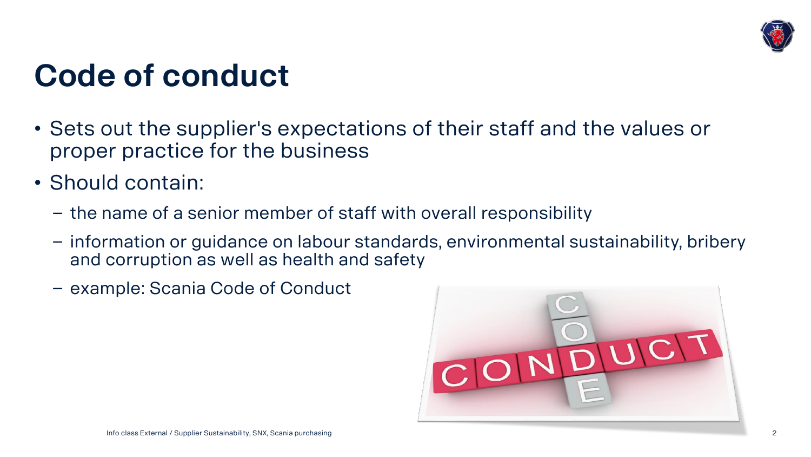

### **Code of conduct**

- Sets out the supplier's expectations of their staff and the values or proper practice for the business
- Should contain:
	- − the name of a senior member of staff with overall responsibility
	- − information or guidance on labour standards, environmental sustainability, bribery and corruption as well as health and safety
	- − example: Scania Code of Conduct

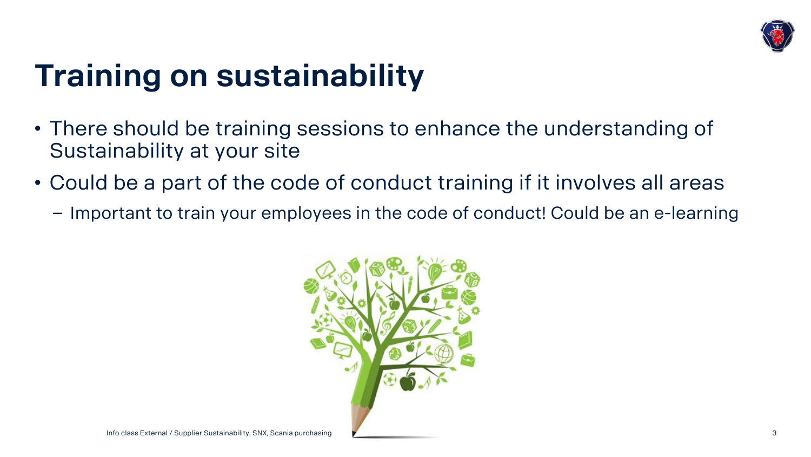

## **Training on sustainability**

- There should be training sessions to enhance the understanding of Sustainability at your site
- Could be a part of the code of conduct training if it involves all areas
	- − Important to train your employees in the code of conduct! Could be an e-learning

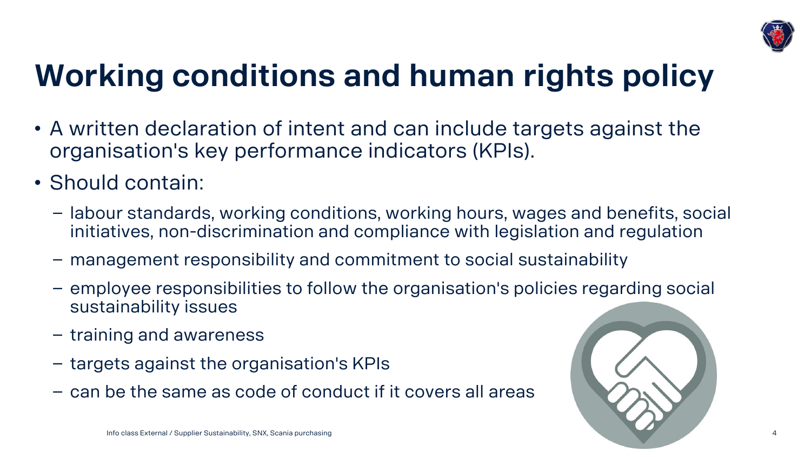

# **Working conditions and human rights policy**

- A written declaration of intent and can include targets against the organisation's key performance indicators (KPIs).
- Should contain:
	- − labour standards, working conditions, working hours, wages and benefits, social initiatives, non-discrimination and compliance with legislation and regulation
	- − management responsibility and commitment to social sustainability
	- − employee responsibilities to follow the organisation's policies regarding social sustainability issues
	- − training and awareness
	- − targets against the organisation's KPIs
	- − can be the same as code of conduct if it covers all areas

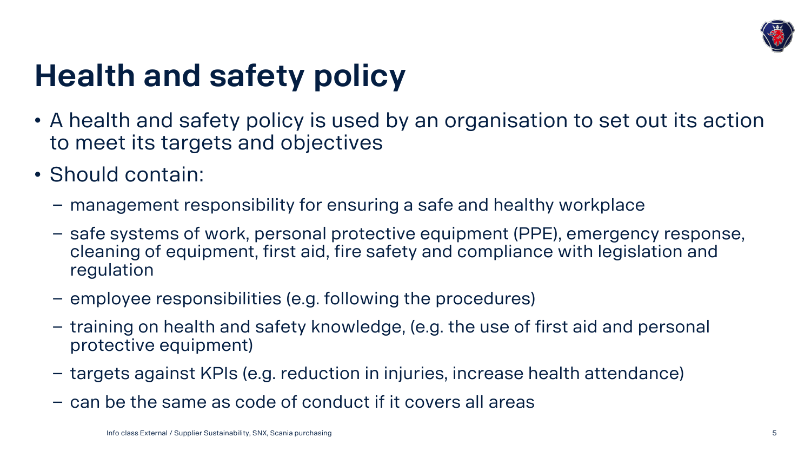

## **Health and safety policy**

- A health and safety policy is used by an organisation to set out its action to meet its targets and objectives
- Should contain:
	- − management responsibility for ensuring a safe and healthy workplace
	- − safe systems of work, personal protective equipment (PPE), emergency response, cleaning of equipment, first aid, fire safety and compliance with legislation and regulation
	- − employee responsibilities (e.g. following the procedures)
	- − training on health and safety knowledge, (e.g. the use of first aid and personal protective equipment)
	- − targets against KPIs (e.g. reduction in injuries, increase health attendance)
	- − can be the same as code of conduct if it covers all areas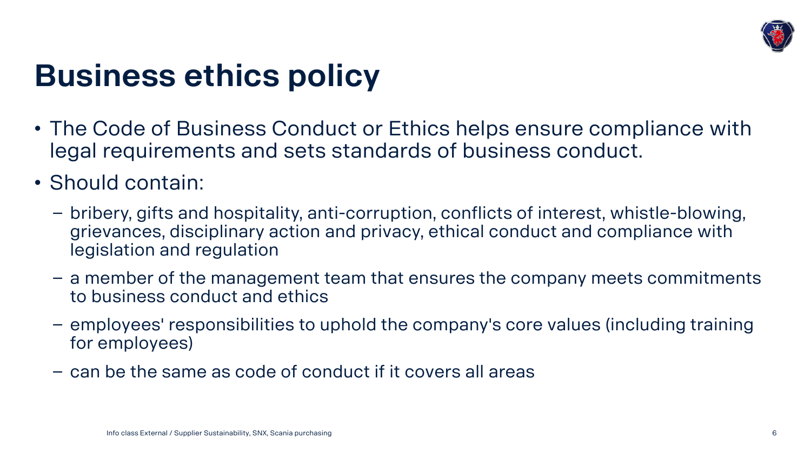

#### **Business ethics policy**

- The Code of Business Conduct or Ethics helps ensure compliance with legal requirements and sets standards of business conduct.
- Should contain:
	- − bribery, gifts and hospitality, anti-corruption, conflicts of interest, whistle-blowing, grievances, disciplinary action and privacy, ethical conduct and compliance with legislation and regulation
	- − a member of the management team that ensures the company meets commitments to business conduct and ethics
	- − employees' responsibilities to uphold the company's core values (including training for employees)
	- − can be the same as code of conduct if it covers all areas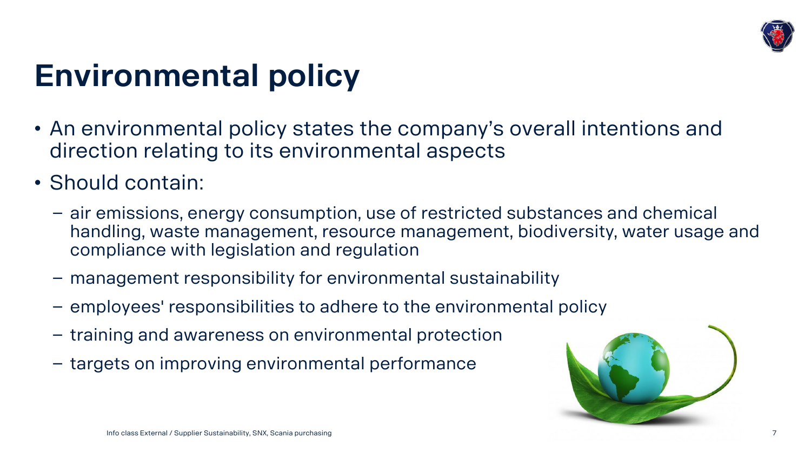

## **Environmental policy**

- An environmental policy states the company's overall intentions and direction relating to its environmental aspects
- Should contain:
	- − air emissions, energy consumption, use of restricted substances and chemical handling, waste management, resource management, biodiversity, water usage and compliance with legislation and regulation
	- − management responsibility for environmental sustainability
	- − employees' responsibilities to adhere to the environmental policy
	- − training and awareness on environmental protection
	- − targets on improving environmental performance